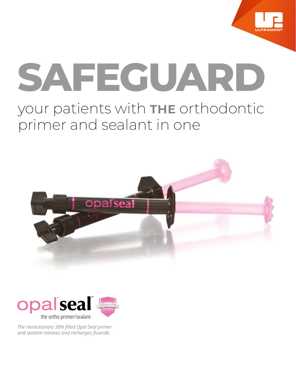

# **SAFEGUARD** your patients with THE orthodontic primer and sealant in one





*The revolutionary 38% filled Opal Seal primer and sealant releases and recharges fluoride.*